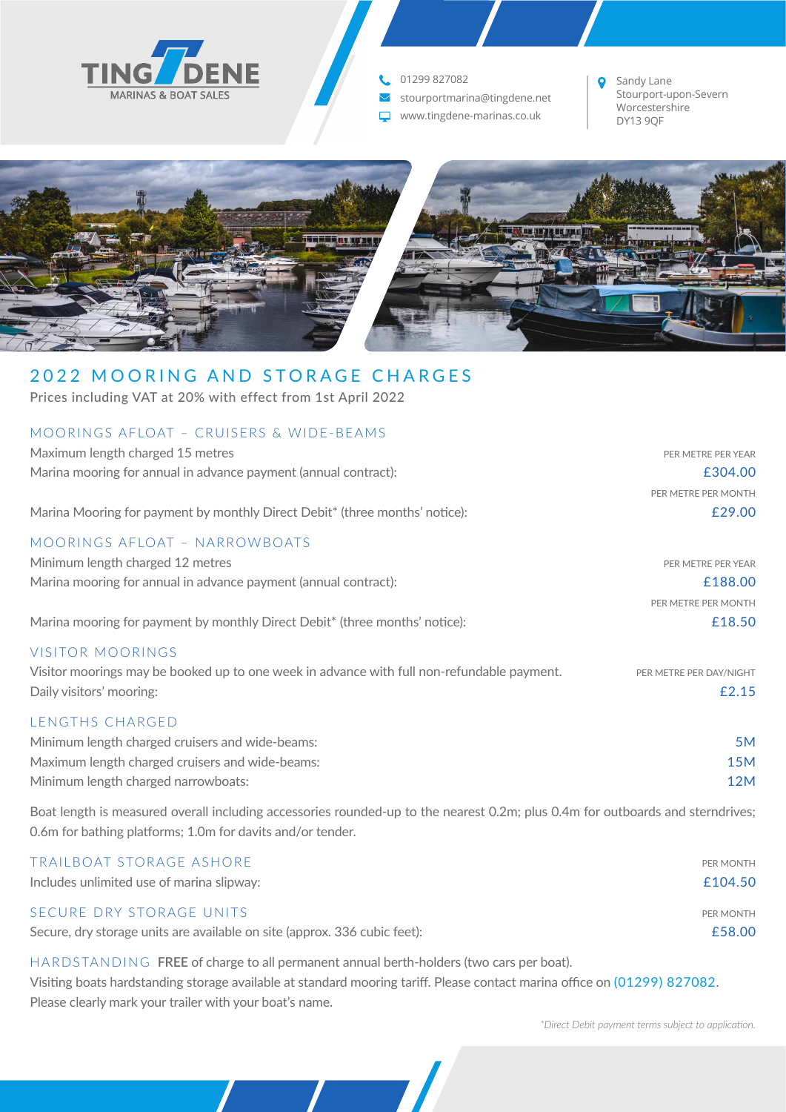

# 01299 827082

- Stourportmarina@tingdene.net
- $\nabla$  www.tingdene-marinas.co.uk

Sandy Lane  $\bullet$ Stourport-upon-Severn Worcestershire<br>DY13 9QF



# 2022 MOORING AND STORAGE CHARGES

Prices including VAT at 20% with effect from 1st April 2022

| MOORINGS AFLOAT - CRUISERS & WIDE-BEAMS                                                                                                                                                      |                                  |
|----------------------------------------------------------------------------------------------------------------------------------------------------------------------------------------------|----------------------------------|
| Maximum length charged 15 metres                                                                                                                                                             | PER METRE PER YEAR               |
| Marina mooring for annual in advance payment (annual contract):                                                                                                                              | £304.00                          |
|                                                                                                                                                                                              | PER METRE PER MONTH              |
| Marina Mooring for payment by monthly Direct Debit* (three months' notice):                                                                                                                  | £29.00                           |
| <b>MOORINGS AFLOAT - NARROWBOATS</b>                                                                                                                                                         |                                  |
| Minimum length charged 12 metres                                                                                                                                                             | PER METRE PER YEAR               |
| Marina mooring for annual in advance payment (annual contract):                                                                                                                              | £188.00                          |
|                                                                                                                                                                                              | PER METRE PER MONTH              |
| Marina mooring for payment by monthly Direct Debit* (three months' notice):                                                                                                                  | £18.50                           |
| <b>VISITOR MOORINGS</b><br>Visitor moorings may be booked up to one week in advance with full non-refundable payment.<br>Daily visitors' mooring:                                            | PER METRE PER DAY/NIGHT<br>£2.15 |
| LENGTHS CHARGED<br>Minimum length charged cruisers and wide-beams:<br>Maximum length charged cruisers and wide-beams:<br>Minimum length charged narrowboats:                                 | 5M<br><b>15M</b><br><b>12M</b>   |
| Boat length is measured overall including accessories rounded-up to the nearest 0.2m; plus 0.4m for outboards and sterndrives;<br>0.6m for bathing platforms; 1.0m for davits and/or tender. |                                  |
| <b>TRAILBOAT STORAGE ASHORE</b>                                                                                                                                                              | PER MONTH                        |

| Includes unlimited use of marina slipway: | £104.50 |
|-------------------------------------------|---------|
|-------------------------------------------|---------|

### SECURE DRY STORAGE UNITS PER MONTH

Secure, dry storage units are available on site (approx. 336 cubic feet): **E**58.00

HARDSTANDING **FREE** of charge to all permanent annual berth-holders (two cars per boat).

Visiting boats hardstanding storage available at standard mooring tariff. Please contact marina office on (01299) 827082. Please clearly mark your trailer with your boat's name.

*\*Direct Debit payment terms subject to application.*